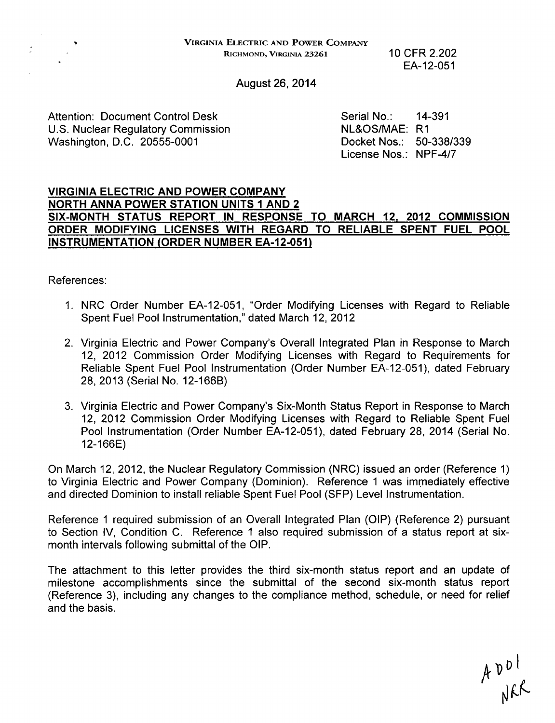VIRGINIA ELECTRIC **AND** POWER COMPANY RICHMOND, VIRGINIA **23261** 10 CFR 2.202

EA-12-051

August 26, 2014

Attention: Document Control Desk Serial No.: 14-391<br>
U.S. Nuclear Regulatory Commission NE&OS/MAE: R1 U.S. Nuclear Regulatory Commission NL&OS/MAE: R1 Washington, D.C. 20555-0001

License Nos.: NPF-4/7

### VIRGINIA ELECTRIC AND POWER COMPANY NORTH ANNA POWER STATION UNITS **1** AND 2 SIX-MONTH STATUS REPORT IN RESPONSE TO MARCH 12, 2012 COMMISSION ORDER MODIFYING LICENSES WITH REGARD TO RELIABLE SPENT FUEL POOL INSTRUMENTATION (ORDER NUMBER EA-12-051)

References:

- 1. NRC Order Number EA-12-051, "Order Modifying Licenses with Regard to Reliable Spent Fuel Pool Instrumentation," dated March 12, 2012
- 2. Virginia Electric and Power Company's Overall Integrated Plan in Response to March 12, 2012 Commission Order Modifying Licenses with Regard to Requirements for Reliable Spent Fuel Pool Instrumentation (Order Number EA-12-051), dated February 28, 2013 (Serial No. 12-166B)
- 3. Virginia Electric and Power Company's Six-Month Status Report in Response to March 12, 2012 Commission Order Modifying Licenses with Regard to Reliable Spent Fuel Pool Instrumentation (Order Number EA-12-051), dated February 28, 2014 (Serial No. 12-166E)

On March 12, 2012, the Nuclear Regulatory Commission (NRC) issued an order (Reference 1) to Virginia Electric and Power Company (Dominion). Reference 1 was immediately effective and directed Dominion to install reliable Spent Fuel Pool (SFP) Level Instrumentation.

Reference 1 required submission of an Overall Integrated Plan (OIP) (Reference 2) pursuant to Section IV, Condition C. Reference **1** also required submission of a status report at sixmonth intervals following submittal of the OIP.

The attachment to this letter provides the third six-month status report and an update of milestone accomplishments since the submittal of the second six-month status report (Reference 3), including any changes to the compliance method, schedule, or need for relief and the basis.

 $A$   $D$   $D$   $C$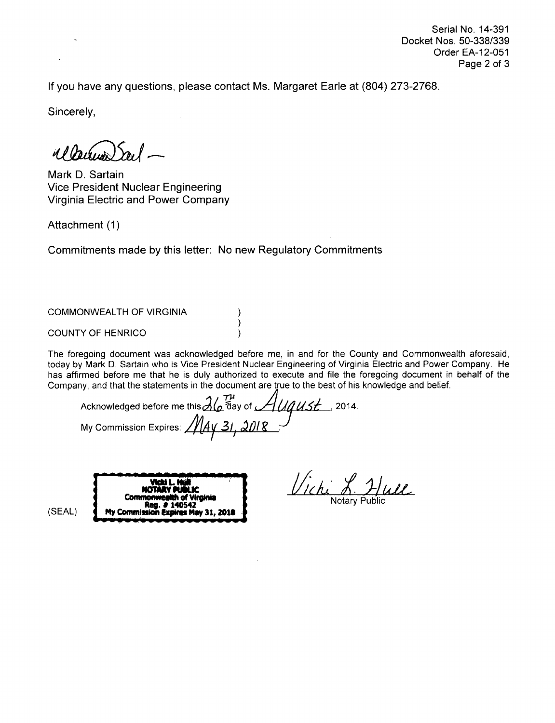Serial No. 14-391 Docket Nos. 50-338/339 Order EA-12-051 Page 2 of 3

If you have any questions, please contact Ms. Margaret Earle at (804) 273-2768.

Sincerely,

 $d\int$ pression)

Mark **D.** Sartain Vice President Nuclear Engineering Virginia Electric and Power Company

Attachment (1)

Commitments made by this letter: No new Regulatory Commitments

 $\lambda$  $\lambda$  $\lambda$ 

COMMONWEALTH OF VIRGINIA

COUNTY OF HENRICO

The foregoing document was acknowledged before me, in and for the County and Commonwealth aforesaid, today by Mark **D.** Sartain who is Vice President Nuclear Engineering of Virginia Electric and Power Company. He has affirmed before me that he is duly authorized to execute and file the foregoing document in behalf of the Company, and that the statements in the document are true to the best of his knowledge and belief.

Acknowledged before me this  $\partial_a$   $\bar{a}$  ay of  $\mathcal{A}$  UAUSE , 2014. **My Commission Expires:** 

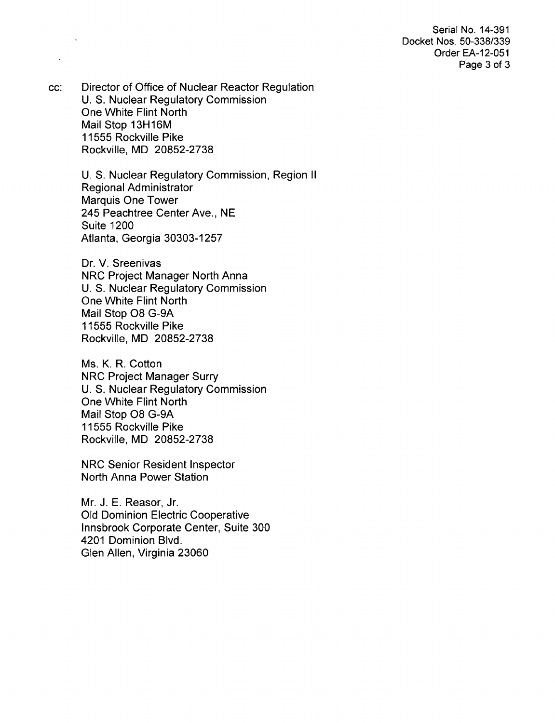Serial No. 14-391 Docket Nos. 50-338/339 Order EA-12-051 Page 3 of 3

cc: Director of Office of Nuclear Reactor Regulation U. S. Nuclear Regulatory Commission One White Flint North Mail Stop 13H16M 11555 Rockville Pike Rockville, MD 20852-2738

> U. S. Nuclear Regulatory Commission, Region II Regional Administrator Marquis One Tower 245 Peachtree Center Ave., NE Suite 1200 Atlanta, Georgia 30303-1257

Dr. V. Sreenivas NRC Project Manager North Anna U. S. Nuclear Regulatory Commission One White Flint North Mail Stop 08 G-9A 11555 Rockville Pike Rockville, MD 20852-2738

Ms. K. R. Cotton NRC Project Manager Surry U. S. Nuclear Regulatory Commission One White Flint North Mail Stop 08 G-9A 11555 Rockville Pike Rockville, MD 20852-2738

NRC Senior Resident Inspector North Anna Power Station

Mr. J. E. Reasor, Jr. Old Dominion Electric Cooperative Innsbrook Corporate Center, Suite 300 4201 Dominion Blvd. Glen Allen, Virginia 23060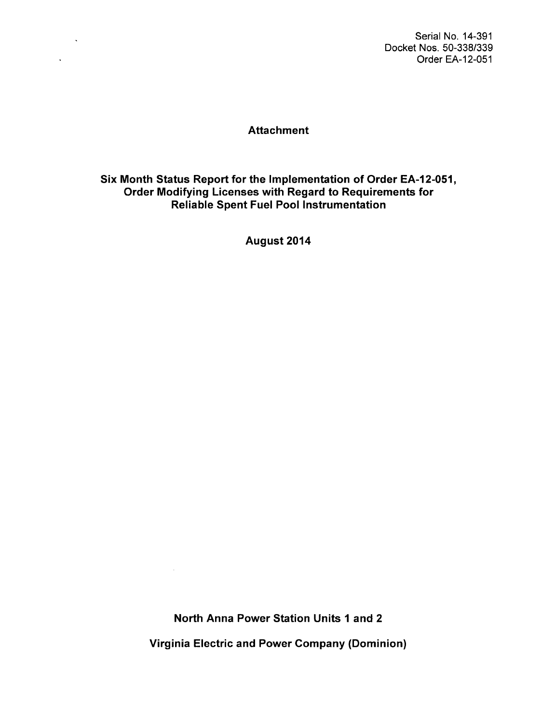Serial No. 14-391 Docket Nos. 50-338/339 Order EA-12-051

# **Attachment**

 $\sim 10^{-10}$ 

 $\Delta \sim 10^4$ 

Six Month Status Report for the Implementation of Order EA-12-051, Order Modifying Licenses with Regard to Requirements for Reliable Spent Fuel Pool Instrumentation

August 2014

North Anna Power Station Units **1** and 2 Virginia Electric and Power Company (Dominion)

 $\Delta \sim 1$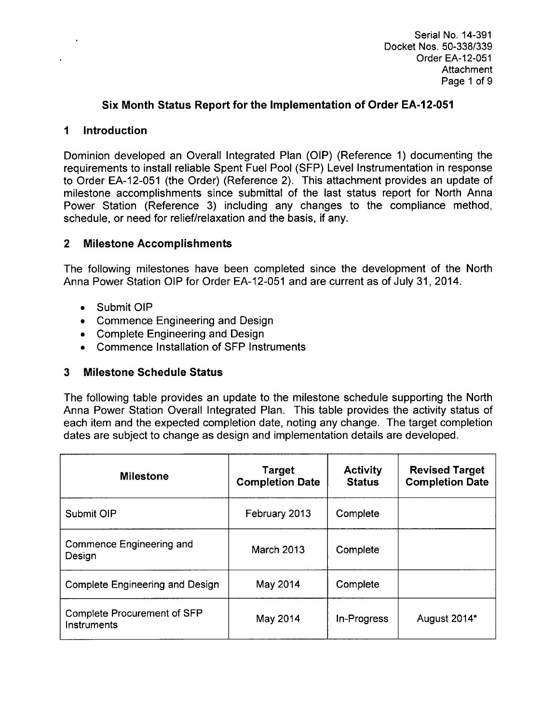# Six Month Status Report for the Implementation of Order **EA-1** 2-051

### **1** Introduction

Dominion developed an Overall Integrated Plan (OIP) (Reference 1) documenting the requirements to install reliable Spent Fuel Pool (SFP) Level Instrumentation in response to Order EA-12-051 (the Order) (Reference 2). This attachment provides an update of milestone accomplishments since submittal of the last status report for North Anna Power Station (Reference 3) including any changes to the compliance method, schedule, or need for relief/relaxation and the basis, if any.

## 2 Milestone Accomplishments

The following milestones have been completed since the development of the North Anna Power Station OIP for Order EA-12-051 and are current as of July 31, 2014.

- Submit OIF
- **Commence Engineering and Design**
- **•** Complete Engineering and Desigr
- **•** Commence Installation of SFP Instruments

## **3** Milestone Schedule Status

The following table provides an update to the milestone schedule supporting the North Anna Power Station Overall Integrated Plan. This table provides the activity status of each item and the expected completion date, noting any change. The target completion dates are subject to change as design and implementation details are developed.

| <b>Milestone</b>                                  | <b>Target</b><br><b>Completion Date</b> | <b>Activity</b><br><b>Status</b> | <b>Revised Target</b><br><b>Completion Date</b> |
|---------------------------------------------------|-----------------------------------------|----------------------------------|-------------------------------------------------|
| Submit OIP                                        | February 2013                           | Complete                         |                                                 |
| Commence Engineering and<br>Design                | <b>March 2013</b>                       | Complete                         |                                                 |
| <b>Complete Engineering and Design</b>            | May 2014                                | Complete                         |                                                 |
| <b>Complete Procurement of SFP</b><br>Instruments | May 2014                                | In-Progress                      | August 2014*                                    |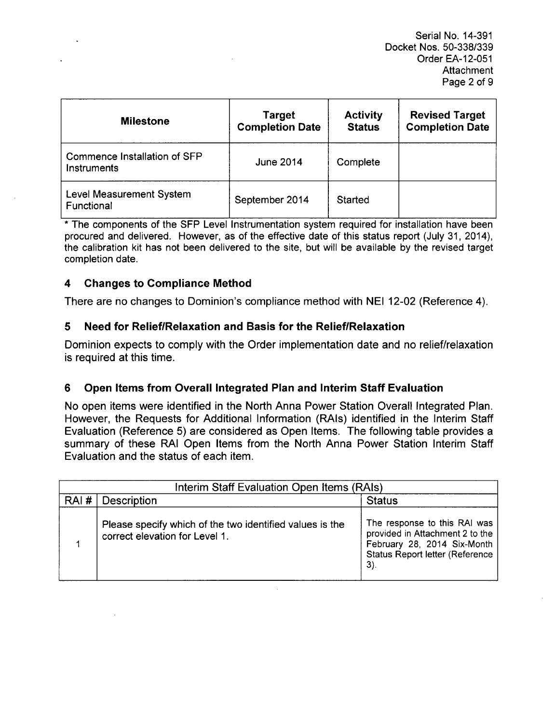Serial No. 14-391 Docket Nos. 50-338/339 Order EA-12-051 **Attachment** Page 2 of **9**

| <b>Milestone</b>                            | <b>Target</b><br><b>Completion Date</b> | <b>Activity</b><br><b>Status</b> | <b>Revised Target</b><br><b>Completion Date</b> |
|---------------------------------------------|-----------------------------------------|----------------------------------|-------------------------------------------------|
| Commence Installation of SFP<br>Instruments | <b>June 2014</b>                        | Complete                         |                                                 |
| Level Measurement System<br>Functional      | September 2014                          | Started                          |                                                 |

\* The components of the **SFP** Level Instrumentation system required for installation have been procured and delivered. However, as of the effective date of this status report (July 31, 2014), the calibration kit has not been delivered to the site, but will be available by the revised target completion date.

## 4 Changes to Compliance Method

There are no changes to Dominion's compliance method with NEI 12-02 (Reference 4).

## 5 Need for RelieflRelaxation and Basis for the Relief/Relaxation

Dominion expects to comply with the Order implementation date and no relief/relaxation is required at this time.

## 6 Open Items from Overall Integrated Plan and Interim Staff Evaluation

No open items were identified in the North Anna Power Station Overall Integrated Plan. However, the Requests for Additional Information (RAIs) identified in the Interim Staff Evaluation (Reference 5) are considered as Open Items. The following table provides a summary of these RAI Open Items from the North Anna Power Station Interim Staff Evaluation and the status of each item.

| Interim Staff Evaluation Open Items (RAIs) |                                                                                            |                                                                                                                                                    |
|--------------------------------------------|--------------------------------------------------------------------------------------------|----------------------------------------------------------------------------------------------------------------------------------------------------|
| RAI#                                       | Description                                                                                | <b>Status</b>                                                                                                                                      |
|                                            | Please specify which of the two identified values is the<br>correct elevation for Level 1. | The response to this RAI was<br>provided in Attachment 2 to the<br>February 28, 2014 Six-Month<br><b>Status Report letter (Reference</b><br>$3)$ . |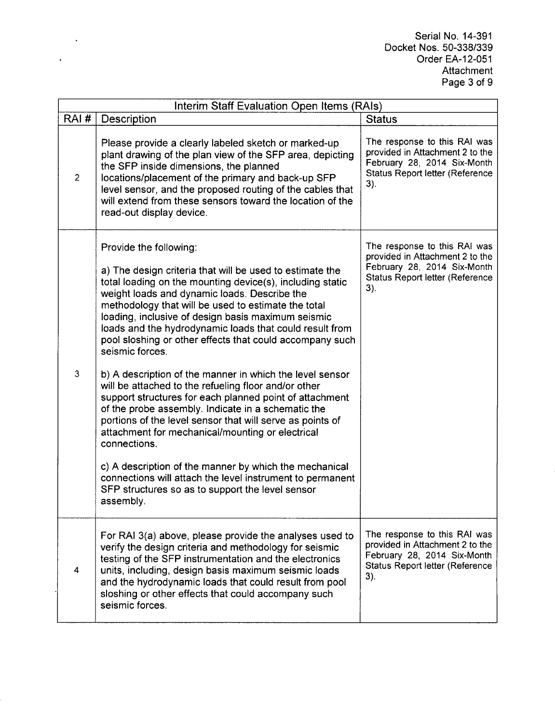Serial No. 14-391 Docket Nos. 50-338/339 Order EA-12-051 Attachment Page 3 of 9

| Interim Staff Evaluation Open Items (RAIs) |                                                                                                                                                                                                                                                                                                                                                                                                                                                                                                                                                                                                                                                                                                                                                                                                                                                                                                                                                                                                                      |                                                                                                                                          |  |
|--------------------------------------------|----------------------------------------------------------------------------------------------------------------------------------------------------------------------------------------------------------------------------------------------------------------------------------------------------------------------------------------------------------------------------------------------------------------------------------------------------------------------------------------------------------------------------------------------------------------------------------------------------------------------------------------------------------------------------------------------------------------------------------------------------------------------------------------------------------------------------------------------------------------------------------------------------------------------------------------------------------------------------------------------------------------------|------------------------------------------------------------------------------------------------------------------------------------------|--|
| RAI#                                       | <b>Description</b>                                                                                                                                                                                                                                                                                                                                                                                                                                                                                                                                                                                                                                                                                                                                                                                                                                                                                                                                                                                                   | <b>Status</b>                                                                                                                            |  |
| $\overline{c}$                             | Please provide a clearly labeled sketch or marked-up<br>plant drawing of the plan view of the SFP area, depicting<br>the SFP inside dimensions, the planned<br>locations/placement of the primary and back-up SFP<br>level sensor, and the proposed routing of the cables that<br>will extend from these sensors toward the location of the<br>read-out display device.                                                                                                                                                                                                                                                                                                                                                                                                                                                                                                                                                                                                                                              | The response to this RAI was<br>provided in Attachment 2 to the<br>February 28, 2014 Six-Month<br>Status Report letter (Reference<br>3). |  |
| 3                                          | Provide the following:<br>a) The design criteria that will be used to estimate the<br>total loading on the mounting device(s), including static<br>weight loads and dynamic loads. Describe the<br>methodology that will be used to estimate the total<br>loading, inclusive of design basis maximum seismic<br>loads and the hydrodynamic loads that could result from<br>pool sloshing or other effects that could accompany such<br>seismic forces.<br>b) A description of the manner in which the level sensor<br>will be attached to the refueling floor and/or other<br>support structures for each planned point of attachment<br>of the probe assembly. Indicate in a schematic the<br>portions of the level sensor that will serve as points of<br>attachment for mechanical/mounting or electrical<br>connections.<br>c) A description of the manner by which the mechanical<br>connections will attach the level instrument to permanent<br>SFP structures so as to support the level sensor<br>assembly. | The response to this RAI was<br>provided in Attachment 2 to the<br>February 28, 2014 Six-Month<br>Status Report letter (Reference<br>3). |  |
| 4                                          | For RAI 3(a) above, please provide the analyses used to<br>verify the design criteria and methodology for seismic<br>testing of the SFP instrumentation and the electronics<br>units, including, design basis maximum seismic loads<br>and the hydrodynamic loads that could result from pool<br>sloshing or other effects that could accompany such<br>seismic forces.                                                                                                                                                                                                                                                                                                                                                                                                                                                                                                                                                                                                                                              | The response to this RAI was<br>provided in Attachment 2 to the<br>February 28, 2014 Six-Month<br>Status Report letter (Reference<br>3). |  |

 $\mathcal{A}^{\text{out}}$ 

 $\ddot{\phantom{a}}$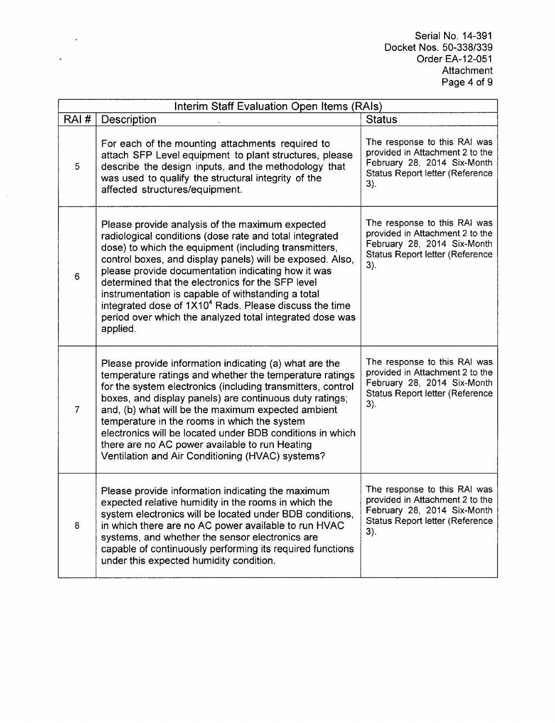Serial No. 14-391 Docket Nos. 50-338/339 Order EA-12-051 Attachment Page 4 of 9

| Interim Staff Evaluation Open Items (RAIs) |                                                                                                                                                                                                                                                                                                                                                                                                                                                                                                                                                 |                                                                                                                                                 |  |
|--------------------------------------------|-------------------------------------------------------------------------------------------------------------------------------------------------------------------------------------------------------------------------------------------------------------------------------------------------------------------------------------------------------------------------------------------------------------------------------------------------------------------------------------------------------------------------------------------------|-------------------------------------------------------------------------------------------------------------------------------------------------|--|
| RAI#                                       | Description                                                                                                                                                                                                                                                                                                                                                                                                                                                                                                                                     | <b>Status</b>                                                                                                                                   |  |
| 5                                          | For each of the mounting attachments required to<br>attach SFP Level equipment to plant structures, please<br>describe the design inputs, and the methodology that<br>was used to qualify the structural integrity of the<br>affected structures/equipment.                                                                                                                                                                                                                                                                                     | The response to this RAI was<br>provided in Attachment 2 to the<br>February 28, 2014 Six-Month<br>Status Report letter (Reference<br>3).        |  |
| 6                                          | Please provide analysis of the maximum expected<br>radiological conditions (dose rate and total integrated<br>dose) to which the equipment (including transmitters,<br>control boxes, and display panels) will be exposed. Also,<br>please provide documentation indicating how it was<br>determined that the electronics for the SFP level<br>instrumentation is capable of withstanding a total<br>integrated dose of 1X10 <sup>4</sup> Rads. Please discuss the time<br>period over which the analyzed total integrated dose was<br>applied. | The response to this RAI was<br>provided in Attachment 2 to the<br>February 28, 2014 Six-Month<br><b>Status Report letter (Reference</b><br>3). |  |
| $\overline{7}$                             | Please provide information indicating (a) what are the<br>temperature ratings and whether the temperature ratings<br>for the system electronics (including transmitters, control<br>boxes, and display panels) are continuous duty ratings;<br>and, (b) what will be the maximum expected ambient<br>temperature in the rooms in which the system<br>electronics will be located under BDB conditions in which<br>there are no AC power available to run Heating<br>Ventilation and Air Conditioning (HVAC) systems?                            | The response to this RAI was<br>provided in Attachment 2 to the<br>February 28, 2014 Six-Month<br>Status Report letter (Reference<br>3).        |  |
| 8                                          | Please provide information indicating the maximum<br>expected relative humidity in the rooms in which the<br>system electronics will be located under BDB conditions,<br>in which there are no AC power available to run HVAC<br>systems, and whether the sensor electronics are<br>capable of continuously performing its required functions<br>under this expected humidity condition.                                                                                                                                                        | The response to this RAI was<br>provided in Attachment 2 to the<br>February 28, 2014 Six-Month<br><b>Status Report letter (Reference</b><br>3). |  |

 $\sim 10^{-10}$ 

 $\ddot{\phantom{a}}$ 

 $\mathcal{A}$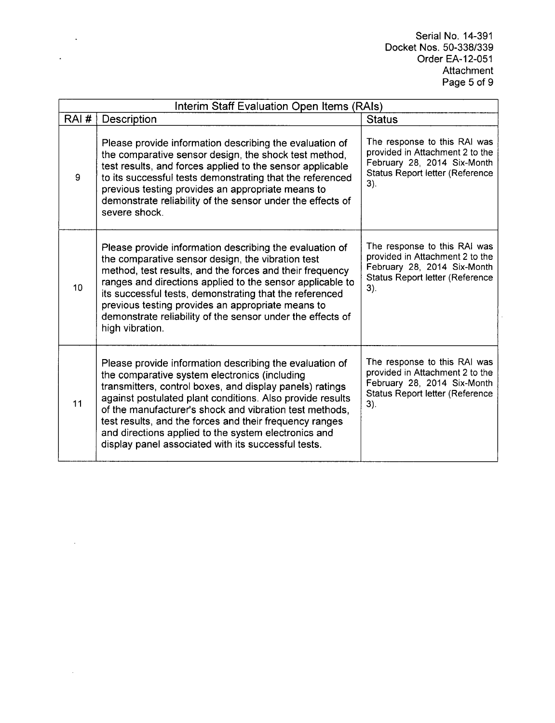Serial No. 14-391 Docket Nos. 50-338/339 Order EA-12-051 Attachment Page 5 of **9**

| Interim Staff Evaluation Open Items (RAIs) |                                                                                                                                                                                                                                                                                                                                                                                                                                                                        |                                                                                                                                                 |  |
|--------------------------------------------|------------------------------------------------------------------------------------------------------------------------------------------------------------------------------------------------------------------------------------------------------------------------------------------------------------------------------------------------------------------------------------------------------------------------------------------------------------------------|-------------------------------------------------------------------------------------------------------------------------------------------------|--|
| RAI#                                       | Description                                                                                                                                                                                                                                                                                                                                                                                                                                                            | <b>Status</b>                                                                                                                                   |  |
| 9                                          | Please provide information describing the evaluation of<br>the comparative sensor design, the shock test method,<br>test results, and forces applied to the sensor applicable<br>to its successful tests demonstrating that the referenced<br>previous testing provides an appropriate means to<br>demonstrate reliability of the sensor under the effects of<br>severe shock.                                                                                         | The response to this RAI was<br>provided in Attachment 2 to the<br>February 28, 2014 Six-Month<br><b>Status Report letter (Reference</b><br>3). |  |
| 10 <sup>1</sup>                            | Please provide information describing the evaluation of<br>the comparative sensor design, the vibration test<br>method, test results, and the forces and their frequency<br>ranges and directions applied to the sensor applicable to<br>its successful tests, demonstrating that the referenced<br>previous testing provides an appropriate means to<br>demonstrate reliability of the sensor under the effects of<br>high vibration.                                 | The response to this RAI was<br>provided in Attachment 2 to the<br>February 28, 2014 Six-Month<br>Status Report letter (Reference<br>3).        |  |
| 11                                         | Please provide information describing the evaluation of<br>the comparative system electronics (including<br>transmitters, control boxes, and display panels) ratings<br>against postulated plant conditions. Also provide results<br>of the manufacturer's shock and vibration test methods,<br>test results, and the forces and their frequency ranges<br>and directions applied to the system electronics and<br>display panel associated with its successful tests. | The response to this RAI was<br>provided in Attachment 2 to the<br>February 28, 2014 Six-Month<br>Status Report letter (Reference<br>3).        |  |

 $\sim 10^{11}$  km s  $^{-1}$ 

 $\ddot{\phantom{a}}$ 

 $\sim$ 

 $\sim 10^{-1}$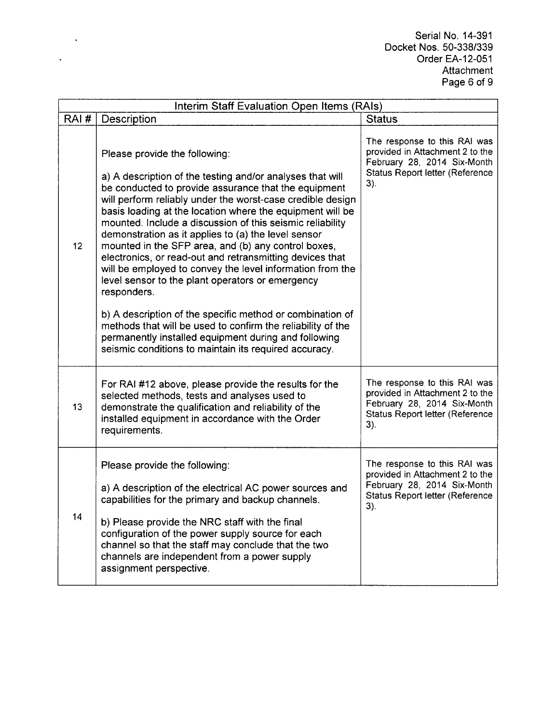Serial No. 14-391 Docket Nos. 50-338/339 Order EA-12-051 Attachmen: Page 6 of 9

| Interim Staff Evaluation Open Items (RAIs) |                                                                                                                                                                                                                                                                                                                                                                                                                                                                                                                                                                                                                                                                                                                                                                                                                                                                                                   |                                                                                                                                                 |  |
|--------------------------------------------|---------------------------------------------------------------------------------------------------------------------------------------------------------------------------------------------------------------------------------------------------------------------------------------------------------------------------------------------------------------------------------------------------------------------------------------------------------------------------------------------------------------------------------------------------------------------------------------------------------------------------------------------------------------------------------------------------------------------------------------------------------------------------------------------------------------------------------------------------------------------------------------------------|-------------------------------------------------------------------------------------------------------------------------------------------------|--|
| RAI#                                       | Description                                                                                                                                                                                                                                                                                                                                                                                                                                                                                                                                                                                                                                                                                                                                                                                                                                                                                       | <b>Status</b>                                                                                                                                   |  |
| 12                                         | Please provide the following:<br>a) A description of the testing and/or analyses that will<br>be conducted to provide assurance that the equipment<br>will perform reliably under the worst-case credible design<br>basis loading at the location where the equipment will be<br>mounted. Include a discussion of this seismic reliability<br>demonstration as it applies to (a) the level sensor<br>mounted in the SFP area, and (b) any control boxes,<br>electronics, or read-out and retransmitting devices that<br>will be employed to convey the level information from the<br>level sensor to the plant operators or emergency<br>responders.<br>b) A description of the specific method or combination of<br>methods that will be used to confirm the reliability of the<br>permanently installed equipment during and following<br>seismic conditions to maintain its required accuracy. | The response to this RAI was<br>provided in Attachment 2 to the<br>February 28, 2014 Six-Month<br>Status Report letter (Reference<br>3).        |  |
| 13                                         | For RAI #12 above, please provide the results for the<br>selected methods, tests and analyses used to<br>demonstrate the qualification and reliability of the<br>installed equipment in accordance with the Order<br>requirements.                                                                                                                                                                                                                                                                                                                                                                                                                                                                                                                                                                                                                                                                | The response to this RAI was<br>provided in Attachment 2 to the<br>February 28, 2014 Six-Month<br>Status Report letter (Reference<br>3).        |  |
| 14                                         | Please provide the following:<br>a) A description of the electrical AC power sources and<br>capabilities for the primary and backup channels.<br>b) Please provide the NRC staff with the final<br>configuration of the power supply source for each<br>channel so that the staff may conclude that the two<br>channels are independent from a power supply<br>assignment perspective.                                                                                                                                                                                                                                                                                                                                                                                                                                                                                                            | The response to this RAI was<br>provided in Attachment 2 to the<br>February 28, 2014 Six-Month<br><b>Status Report letter (Reference</b><br>3). |  |

 $\sim 10^{-10}$ 

 $\downarrow$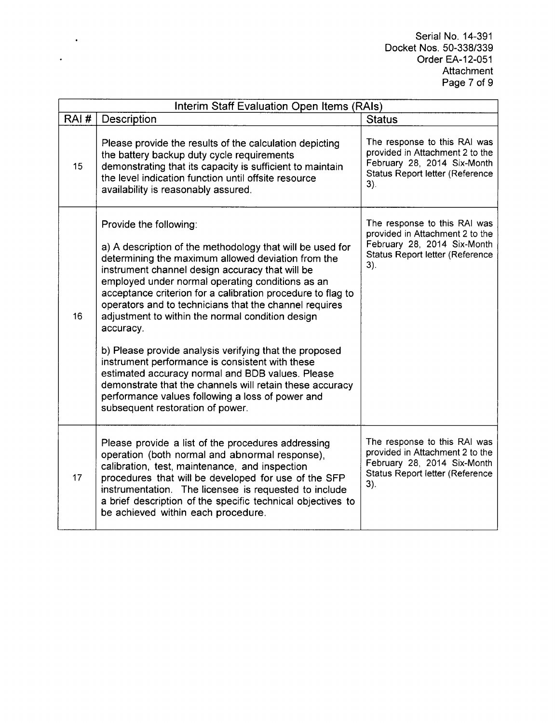Serial No. 14-391 Docket Nos. 50-338/339 Order EA-12-051 Attachment Page 7 of 9

| Interim Staff Evaluation Open Items (RAIs) |                                                                                                                                                                                                                                                                                                                                                                                                                                                                                                                                                                                                                                                                                                                                                                 |                                                                                                                                             |  |
|--------------------------------------------|-----------------------------------------------------------------------------------------------------------------------------------------------------------------------------------------------------------------------------------------------------------------------------------------------------------------------------------------------------------------------------------------------------------------------------------------------------------------------------------------------------------------------------------------------------------------------------------------------------------------------------------------------------------------------------------------------------------------------------------------------------------------|---------------------------------------------------------------------------------------------------------------------------------------------|--|
| RAI#                                       | Description                                                                                                                                                                                                                                                                                                                                                                                                                                                                                                                                                                                                                                                                                                                                                     | <b>Status</b>                                                                                                                               |  |
| 15                                         | Please provide the results of the calculation depicting<br>the battery backup duty cycle requirements<br>demonstrating that its capacity is sufficient to maintain<br>the level indication function until offsite resource<br>availability is reasonably assured.                                                                                                                                                                                                                                                                                                                                                                                                                                                                                               | The response to this RAI was<br>provided in Attachment 2 to the<br>February 28, 2014 Six-Month<br>Status Report letter (Reference<br>$3)$ . |  |
| 16                                         | Provide the following:<br>a) A description of the methodology that will be used for<br>determining the maximum allowed deviation from the<br>instrument channel design accuracy that will be<br>employed under normal operating conditions as an<br>acceptance criterion for a calibration procedure to flag to<br>operators and to technicians that the channel requires<br>adjustment to within the normal condition design<br>accuracy.<br>b) Please provide analysis verifying that the proposed<br>instrument performance is consistent with these<br>estimated accuracy normal and BDB values. Please<br>demonstrate that the channels will retain these accuracy<br>performance values following a loss of power and<br>subsequent restoration of power. | The response to this RAI was<br>provided in Attachment 2 to the<br>February 28, 2014 Six-Month<br>Status Report letter (Reference<br>3).    |  |
| 17                                         | Please provide a list of the procedures addressing<br>operation (both normal and abnormal response),<br>calibration, test, maintenance, and inspection<br>procedures that will be developed for use of the SFP<br>instrumentation. The licensee is requested to include<br>a brief description of the specific technical objectives to<br>be achieved within each procedure.                                                                                                                                                                                                                                                                                                                                                                                    | The response to this RAI was<br>provided in Attachment 2 to the<br>February 28, 2014 Six-Month<br>Status Report letter (Reference<br>$3)$ . |  |

 $\langle \cdot \rangle$ 

 $\ddot{\phantom{a}}$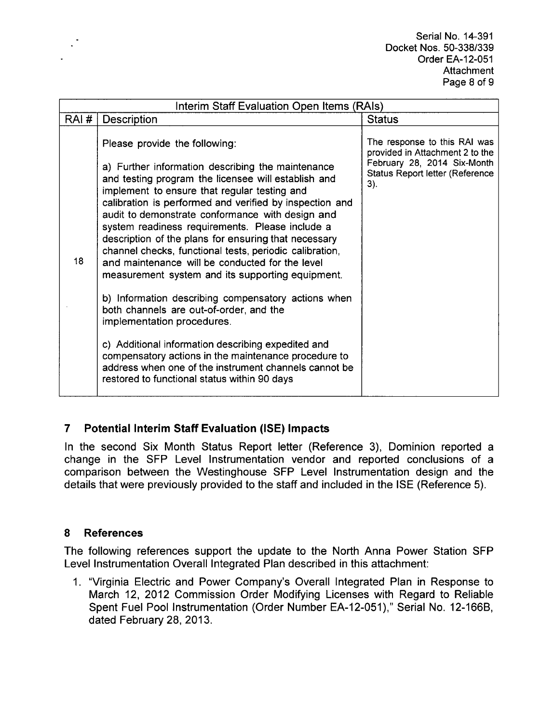Serial No. 14-391 Docket Nos. 50-338/339 Order EA-12-051 Attachment Page 8 of **9**

| Interim Staff Evaluation Open Items (RAIs) |                                                                                                                                                                                                                                                                                                                                                                                                                                                                                                                                                                                                                                                                                                                                                                             |                                                                                                                                                 |  |
|--------------------------------------------|-----------------------------------------------------------------------------------------------------------------------------------------------------------------------------------------------------------------------------------------------------------------------------------------------------------------------------------------------------------------------------------------------------------------------------------------------------------------------------------------------------------------------------------------------------------------------------------------------------------------------------------------------------------------------------------------------------------------------------------------------------------------------------|-------------------------------------------------------------------------------------------------------------------------------------------------|--|
| RAI#                                       | Description                                                                                                                                                                                                                                                                                                                                                                                                                                                                                                                                                                                                                                                                                                                                                                 | <b>Status</b>                                                                                                                                   |  |
| 18                                         | Please provide the following:<br>a) Further information describing the maintenance<br>and testing program the licensee will establish and<br>implement to ensure that regular testing and<br>calibration is performed and verified by inspection and<br>audit to demonstrate conformance with design and<br>system readiness requirements. Please include a<br>description of the plans for ensuring that necessary<br>channel checks, functional tests, periodic calibration,<br>and maintenance will be conducted for the level<br>measurement system and its supporting equipment.<br>b) Information describing compensatory actions when<br>both channels are out-of-order, and the<br>implementation procedures.<br>c) Additional information describing expedited and | The response to this RAI was<br>provided in Attachment 2 to the<br>February 28, 2014 Six-Month<br><b>Status Report letter (Reference</b><br>3). |  |
|                                            | compensatory actions in the maintenance procedure to<br>address when one of the instrument channels cannot be<br>restored to functional status within 90 days                                                                                                                                                                                                                                                                                                                                                                                                                                                                                                                                                                                                               |                                                                                                                                                 |  |

# 7 Potential Interim Staff Evaluation (ISE) Impacts

In the second Six Month Status Report letter (Reference 3), Dominion reported a change in the **SFP** Level Instrumentation vendor and reported conclusions of a comparison between the Westinghouse SFP Level Instrumentation design and the details that were previously provided to the staff and included in the ISE (Reference 5).

## 8 References

The following references support the update to the North Anna Power Station **SFP** Level Instrumentation Overall Integrated Plan described in this attachment:

1. "Virginia Electric and Power Company's Overall Integrated Plan in Response to March 12, 2012 Commission Order Modifying Licenses with Regard to Reliable Spent Fuel Pool Instrumentation (Order Number EA-12-051)," Serial No. 12-166B, dated February 28, 2013.